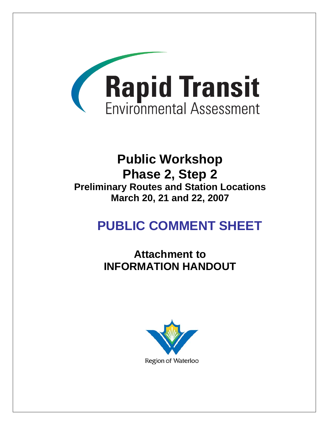

## **Public Workshop Phase 2, Step 2 Preliminary Routes and Station Locations March 20, 21 and 22, 2007**

# **PUBLIC COMMENT SHEET**

**Attachment to INFORMATION HANDOUT** 

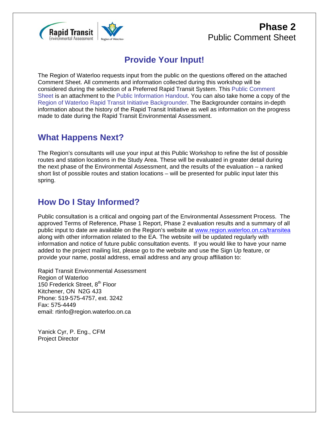

#### **Phase 2** Public Comment Sheet

#### **Provide Your Input!**

The Region of Waterloo requests input from the public on the questions offered on the attached Comment Sheet. All comments and information collected during this workshop will be considered during the selection of a Preferred Rapid Transit System. This Public Comment Sheet is an attachment to the Public Information Handout. You can also take home a copy of the Region of Waterloo Rapid Transit Initiative Backgrounder. The Backgrounder contains in-depth information about the history of the Rapid Transit Initiative as well as information on the progress made to date during the Rapid Transit Environmental Assessment.

#### **What Happens Next?**

The Region's consultants will use your input at this Public Workshop to refine the list of possible routes and station locations in the Study Area. These will be evaluated in greater detail during the next phase of the Environmental Assessment, and the results of the evaluation – a ranked short list of possible routes and station locations – will be presented for public input later this spring.

#### **How Do I Stay Informed?**

Public consultation is a critical and ongoing part of the Environmental Assessment Process. The approved Terms of Reference, Phase 1 Report, Phase 2 evaluation results and a summary of all public input to date are available on the Region's website at www.region.waterloo.on.ca/transitea along with other information related to the EA. The website will be updated regularly with information and notice of future public consultation events. If you would like to have your name added to the project mailing list, please go to the website and use the Sign Up feature, or provide your name, postal address, email address and any group affiliation to:

Rapid Transit Environmental Assessment Region of Waterloo 150 Frederick Street, 8<sup>th</sup> Floor Kitchener, ON N2G 4J3 Phone: 519-575-4757, ext. 3242 Fax: 575-4449 email: rtinfo@region.waterloo.on.ca

Yanick Cyr, P. Eng., CFM Project Director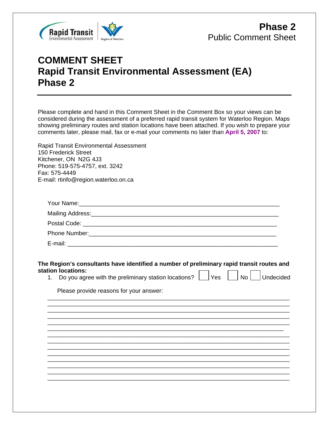

### **COMMENT SHEET Rapid Transit Environmental Assessment (EA) Phase 2**

Please complete and hand in this Comment Sheet in the Comment Box so your views can be considered during the assessment of a preferred rapid transit system for Waterloo Region. Maps showing preliminary routes and station locations have been attached. If you wish to prepare your comments later, please mail, fax or e-mail your comments no later than **April 5, 2007** to: Rapid Transit Environmental Assessment 150 Frederick Street Kitchener, ON N2G 4J3 Phone: 519-575-4757, ext. 3242 Fax: 575-4449 E-mail: rtinfo@region.waterloo.on.ca

| <b>Phone Number:</b> The Company of the Company of the Company of the Company of the Company of the Company of the Company of the Company of the Company of the Company of the Company of the Company of the Company of the Company |  |
|-------------------------------------------------------------------------------------------------------------------------------------------------------------------------------------------------------------------------------------|--|
| E-mail:                                                                                                                                                                                                                             |  |

#### **The Region's consultants have identified a number of preliminary rapid transit routes and station locations:**

\_\_\_\_\_\_\_\_\_\_\_\_\_\_\_\_\_\_\_\_\_\_\_\_\_\_\_\_\_\_\_\_\_\_\_\_\_\_\_\_\_\_\_\_\_\_\_\_\_\_\_\_\_\_\_\_\_\_\_\_\_\_\_\_\_\_\_\_\_\_\_\_\_\_\_\_\_\_\_\_\_ \_\_\_\_\_\_\_\_\_\_\_\_\_\_\_\_\_\_\_\_\_\_\_\_\_\_\_\_\_\_\_\_\_\_\_\_\_\_\_\_\_\_\_\_\_\_\_\_\_\_\_\_\_\_\_\_\_\_\_\_\_\_\_\_\_\_\_\_\_\_\_\_\_\_\_\_\_\_\_\_\_

- 1. Do you agree with the preliminary station locations?  $\Box$  Yes  $\Box$  No  $\Box$  Undecided
- 

Please provide reasons for your answer:

\_\_\_\_\_\_\_\_\_\_\_\_\_\_\_\_\_\_\_\_\_\_\_\_\_\_\_\_\_\_\_\_\_\_\_\_\_\_\_\_\_\_\_\_\_\_\_\_\_\_\_\_\_\_\_\_\_\_\_\_\_\_\_\_\_\_\_\_\_\_\_\_\_\_\_\_\_\_\_\_\_ \_\_\_\_\_\_\_\_\_\_\_\_\_\_\_\_\_\_\_\_\_\_\_\_\_\_\_\_\_\_\_\_\_\_\_\_\_\_\_\_\_\_\_\_\_\_\_\_\_\_\_\_\_\_\_\_\_\_\_\_\_\_\_\_\_\_\_\_\_\_\_\_\_\_\_\_\_\_\_\_\_ \_\_\_\_\_\_\_\_\_\_\_\_\_\_\_\_\_\_\_\_\_\_\_\_\_\_\_\_\_\_\_\_\_\_\_\_\_\_\_\_\_\_\_\_\_\_\_\_\_\_\_\_\_\_\_\_\_\_\_\_\_\_\_\_\_\_\_\_\_\_\_\_\_\_\_\_\_\_\_\_\_ \_\_\_\_\_\_\_\_\_\_\_\_\_\_\_\_\_\_\_\_\_\_\_\_\_\_\_\_\_\_\_\_\_\_\_\_\_\_\_\_\_\_\_\_\_\_\_\_\_\_\_\_\_\_\_\_\_\_\_\_\_\_\_\_\_\_\_\_\_\_\_\_\_\_\_\_\_\_\_ \_\_\_\_\_\_\_\_\_\_\_\_\_\_\_\_\_\_\_\_\_\_\_\_\_\_\_\_\_\_\_\_\_\_\_\_\_\_\_\_\_\_\_\_\_\_\_\_\_\_\_\_\_\_\_\_\_\_\_\_\_\_\_\_\_\_\_\_\_\_\_\_\_\_\_\_\_\_\_\_\_ \_\_\_\_\_\_\_\_\_\_\_\_\_\_\_\_\_\_\_\_\_\_\_\_\_\_\_\_\_\_\_\_\_\_\_\_\_\_\_\_\_\_\_\_\_\_\_\_\_\_\_\_\_\_\_\_\_\_\_\_\_\_\_\_\_\_\_\_\_\_\_\_\_\_\_\_\_\_\_\_\_ \_\_\_\_\_\_\_\_\_\_\_\_\_\_\_\_\_\_\_\_\_\_\_\_\_\_\_\_\_\_\_\_\_\_\_\_\_\_\_\_\_\_\_\_\_\_\_\_\_\_\_\_\_\_\_\_\_\_\_\_\_\_\_\_\_\_\_\_\_\_\_\_\_\_\_\_\_\_\_\_\_ \_\_\_\_\_\_\_\_\_\_\_\_\_\_\_\_\_\_\_\_\_\_\_\_\_\_\_\_\_\_\_\_\_\_\_\_\_\_\_\_\_\_\_\_\_\_\_\_\_\_\_\_\_\_\_\_\_\_\_\_\_\_\_\_\_\_\_\_\_\_\_\_\_\_\_\_\_\_\_\_\_ \_\_\_\_\_\_\_\_\_\_\_\_\_\_\_\_\_\_\_\_\_\_\_\_\_\_\_\_\_\_\_\_\_\_\_\_\_\_\_\_\_\_\_\_\_\_\_\_\_\_\_\_\_\_\_\_\_\_\_\_\_\_\_\_\_\_\_\_\_\_\_\_\_\_\_\_\_\_\_\_\_ \_\_\_\_\_\_\_\_\_\_\_\_\_\_\_\_\_\_\_\_\_\_\_\_\_\_\_\_\_\_\_\_\_\_\_\_\_\_\_\_\_\_\_\_\_\_\_\_\_\_\_\_\_\_\_\_\_\_\_\_\_\_\_\_\_\_\_\_\_\_\_\_\_\_\_\_\_\_\_\_\_ \_\_\_\_\_\_\_\_\_\_\_\_\_\_\_\_\_\_\_\_\_\_\_\_\_\_\_\_\_\_\_\_\_\_\_\_\_\_\_\_\_\_\_\_\_\_\_\_\_\_\_\_\_\_\_\_\_\_\_\_\_\_\_\_\_\_\_\_\_\_\_\_\_\_\_\_\_\_\_\_\_ \_\_\_\_\_\_\_\_\_\_\_\_\_\_\_\_\_\_\_\_\_\_\_\_\_\_\_\_\_\_\_\_\_\_\_\_\_\_\_\_\_\_\_\_\_\_\_\_\_\_\_\_\_\_\_\_\_\_\_\_\_\_\_\_\_\_\_\_\_\_\_\_\_\_\_\_\_\_\_\_\_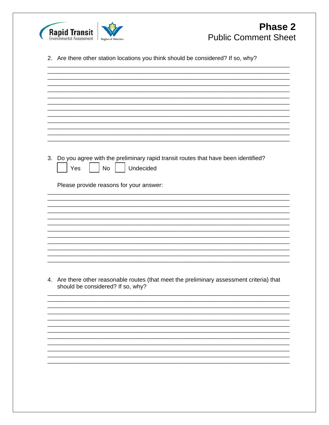

2. Are there other station locations you think should be considered? If so, why?

3. Do you agree with the preliminary rapid transit routes that have been identified? No Undecided Yes Please provide reasons for your answer:

4. Are there other reasonable routes (that meet the preliminary assessment criteria) that should be considered? If so, why?